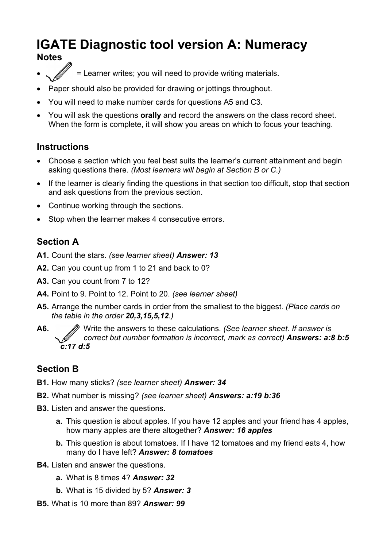# **IGATE Diagnostic tool version A: Numeracy**

### **Notes**

- = Learner writes; you will need to provide writing materials.
- Paper should also be provided for drawing or jottings throughout.
- You will need to make number cards for questions A5 and C3.
- You will ask the questions **orally** and record the answers on the class record sheet. When the form is complete, it will show you areas on which to focus your teaching.

## **Instructions**

- Choose a section which you feel best suits the learner's current attainment and begin asking questions there. *(Most learners will begin at Section B or C.)*
- If the learner is clearly finding the questions in that section too difficult, stop that section and ask questions from the previous section.
- Continue working through the sections.
- Stop when the learner makes 4 consecutive errors.

## **Section A**

- **A1.** Count the stars. *(see learner sheet) Answer: 13*
- **A2.** Can you count up from 1 to 21 and back to 0?
- **A3.** Can you count from 7 to 12?
- **A4.** Point to 9. Point to 12. Point to 20. *(see learner sheet)*
- **A5.** Arrange the number cards in order from the smallest to the biggest. *(Place cards on the table in the order 20,3,15,5,12.)*
- **A6.** Write the answers to these calculations. *(See learner sheet. If answer is correct but number formation is incorrect, mark as correct) Answers: a:8 b:5 c:17 d:5*

## **Section B**

- **B1.** How many sticks? *(see learner sheet) Answer: 34*
- **B2.** What number is missing? *(see learner sheet) Answers: a:19 b:36*
- **B3.** Listen and answer the questions.
	- **a.** This question is about apples. If you have 12 apples and your friend has 4 apples, how many apples are there altogether? *Answer: 16 apples*
	- **b.** This question is about tomatoes. If I have 12 tomatoes and my friend eats 4, how many do I have left? *Answer: 8 tomatoes*
- **B4.** Listen and answer the questions.
	- **a.** What is 8 times 4? *Answer: 32*
	- **b.** What is 15 divided by 5? *Answer: 3*
- **B5.** What is 10 more than 89? *Answer: 99*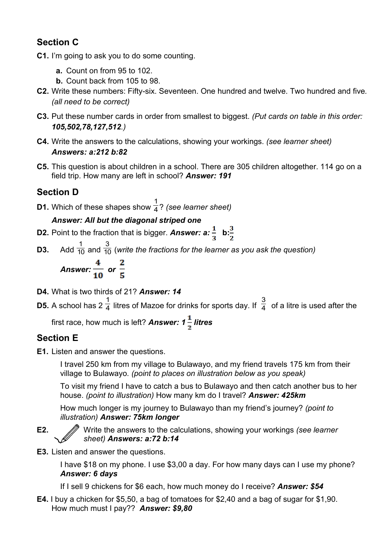# **Section C**

- **C1.** I'm going to ask you to do some counting.
	- **a.** Count on from 95 to 102.
	- **b.** Count back from 105 to 98.
- **C2.** Write these numbers: Fifty-six. Seventeen. One hundred and twelve. Two hundred and five*. (all need to be correct)*
- **C3.** Put these number cards in order from smallest to biggest. *(Put cards on table in this order: 105,502,78,127,512.)*
- **C4.** Write the answers to the calculations, showing your workings. *(see learner sheet) Answers: a:212 b:82*
- **C5.** This question is about children in a school. There are 305 children altogether. 114 go on a field trip. How many are left in school? *Answer: 191*

# **Section D**

**D1.** Which of these shapes show 1 4 ? *(see learner sheet)*

## *Answer: All but the diagonal striped one*

- **D2.** Point to the fraction that is bigger. **Answer: a:**  $\frac{1}{2}$  **b:**  $\frac{3}{2}$
- **D3.** Add 1  $\overline{10}$  and 3  $\overline{{10}}$  (write the fractions for the learner as you ask the question)

Answer: 
$$
\frac{4}{10}
$$
 or  $\frac{2}{5}$ 

- **D4.** What is two thirds of 21? *Answer: 14*
- **D5.** A school has 2 1  $\overline{4}$  litres of Mazoe for drinks for sports day. If 3  $\overline{4}$  of a litre is used after the

first race, how much is left? **Answer: 1**  $\frac{1}{2}$  **litres** 

# **Section E**

**E1.** Listen and answer the questions.

I travel 250 km from my village to Bulawayo, and my friend travels 175 km from their village to Bulawayo*. (point to places on illustration below as you speak)* 

To visit my friend I have to catch a bus to Bulawayo and then catch another bus to her house. *(point to illustration)* How many km do I travel? *Answer: 425km*

How much longer is my journey to Bulawayo than my friend's journey? *(point to illustration) Answer: 75km longer*

**E2.** Write the answers to the calculations, showing your workings *(see learner sheet) Answers: a:72 b:14*

**E3.** Listen and answer the questions.

I have \$18 on my phone. I use \$3,00 a day. For how many days can I use my phone? *Answer: 6 days*

If I sell 9 chickens for \$6 each, how much money do I receive? *Answer: \$54*

**E4.** I buy a chicken for \$5,50, a bag of tomatoes for \$2,40 and a bag of sugar for \$1,90. How much must I pay?? *Answer: \$9,80*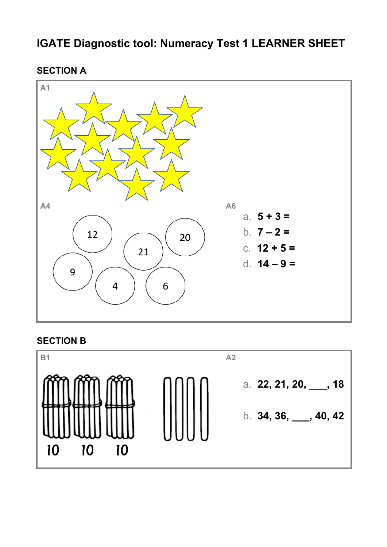# **IGATE Diagnostic tool: Numeracy Test 1 LEARNER SHEET**

**SECTION A**



# **SECTION B**

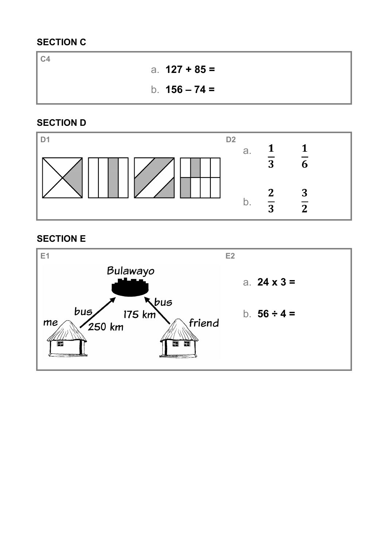# **SECTION C**

**C4**  a. **127 + 85 =** b. **156 – 74 =**

# **SECTION D**



## **SECTION E**

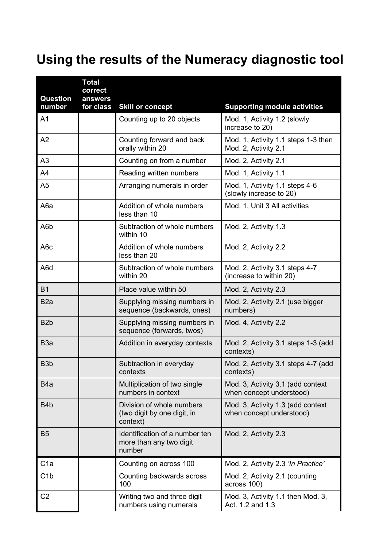# **Using the results of the Numeracy diagnostic tool**

| <b>Question</b><br>number | <b>Total</b><br>correct<br>answers<br>for class | <b>Skill or concept</b>                                              | <b>Supporting module activities</b>                           |
|---------------------------|-------------------------------------------------|----------------------------------------------------------------------|---------------------------------------------------------------|
| A <sub>1</sub>            |                                                 | Counting up to 20 objects                                            | Mod. 1, Activity 1.2 (slowly<br>increase to 20)               |
| A2                        |                                                 | Counting forward and back<br>orally within 20                        | Mod. 1, Activity 1.1 steps 1-3 then<br>Mod. 2, Activity 2.1   |
| A <sub>3</sub>            |                                                 | Counting on from a number                                            | Mod. 2, Activity 2.1                                          |
| A4                        |                                                 | Reading written numbers                                              | Mod. 1, Activity 1.1                                          |
| A <sub>5</sub>            |                                                 | Arranging numerals in order                                          | Mod. 1, Activity 1.1 steps 4-6<br>(slowly increase to 20)     |
| A <sub>6</sub> a          |                                                 | Addition of whole numbers<br>less than 10                            | Mod. 1, Unit 3 All activities                                 |
| A6b                       |                                                 | Subtraction of whole numbers<br>within 10                            | Mod. 2, Activity 1.3                                          |
| A <sub>6</sub> c          |                                                 | Addition of whole numbers<br>less than 20                            | Mod. 2, Activity 2.2                                          |
| A6d                       |                                                 | Subtraction of whole numbers<br>within 20                            | Mod. 2, Activity 3.1 steps 4-7<br>(increase to within 20)     |
| <b>B1</b>                 |                                                 | Place value within 50                                                | Mod. 2, Activity 2.3                                          |
| B <sub>2</sub> a          |                                                 | Supplying missing numbers in<br>sequence (backwards, ones)           | Mod. 2, Activity 2.1 (use bigger<br>numbers)                  |
| B <sub>2</sub> b          |                                                 | Supplying missing numbers in<br>sequence (forwards, twos)            | Mod. 4, Activity 2.2                                          |
| B <sub>3</sub> a          |                                                 | Addition in everyday contexts                                        | Mod. 2, Activity 3.1 steps 1-3 (add<br>contexts)              |
| B <sub>3</sub> b          |                                                 | Subtraction in everyday<br>contexts                                  | Mod. 2, Activity 3.1 steps 4-7 (add<br>contexts)              |
| B <sub>4</sub> a          |                                                 | Multiplication of two single<br>numbers in context                   | Mod. 3, Activity 3.1 (add context<br>when concept understood) |
| B <sub>4</sub> b          |                                                 | Division of whole numbers<br>(two digit by one digit, in<br>context) | Mod. 3, Activity 1.3 (add context<br>when concept understood) |
| <b>B5</b>                 |                                                 | Identification of a number ten<br>more than any two digit<br>number  | Mod. 2, Activity 2.3                                          |
| C <sub>1a</sub>           |                                                 | Counting on across 100                                               | Mod. 2, Activity 2.3 'In Practice'                            |
| C <sub>1</sub> b          |                                                 | Counting backwards across<br>100                                     | Mod. 2, Activity 2.1 (counting<br>across 100)                 |
| C <sub>2</sub>            |                                                 | Writing two and three digit<br>numbers using numerals                | Mod. 3, Activity 1.1 then Mod. 3,<br>Act. 1.2 and 1.3         |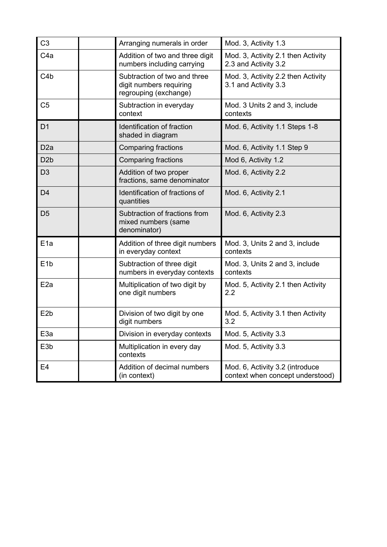| C <sub>3</sub>   | Arranging numerals in order                                                      | Mod. 3, Activity 1.3                                                |
|------------------|----------------------------------------------------------------------------------|---------------------------------------------------------------------|
| C <sub>4a</sub>  | Addition of two and three digit<br>numbers including carrying                    | Mod. 3, Activity 2.1 then Activity<br>2.3 and Activity 3.2          |
| C4b              | Subtraction of two and three<br>digit numbers requiring<br>regrouping (exchange) | Mod. 3, Activity 2.2 then Activity<br>3.1 and Activity 3.3          |
| C <sub>5</sub>   | Subtraction in everyday<br>context                                               | Mod. 3 Units 2 and 3, include<br>contexts                           |
| D <sub>1</sub>   | Identification of fraction<br>shaded in diagram                                  | Mod. 6, Activity 1.1 Steps 1-8                                      |
| D <sub>2a</sub>  | Comparing fractions                                                              | Mod. 6, Activity 1.1 Step 9                                         |
| D <sub>2</sub> b | <b>Comparing fractions</b>                                                       | Mod 6, Activity 1.2                                                 |
| D <sub>3</sub>   | Addition of two proper<br>fractions, same denominator                            | Mod. 6, Activity 2.2                                                |
| D <sub>4</sub>   | Identification of fractions of<br>quantities                                     | Mod. 6, Activity 2.1                                                |
| D <sub>5</sub>   | Subtraction of fractions from<br>mixed numbers (same<br>denominator)             | Mod. 6, Activity 2.3                                                |
| E <sub>1a</sub>  | Addition of three digit numbers<br>in everyday context                           | Mod. 3, Units 2 and 3, include<br>contexts                          |
| E <sub>1b</sub>  | Subtraction of three digit<br>numbers in everyday contexts                       | Mod. 3, Units 2 and 3, include<br>contexts                          |
| E <sub>2a</sub>  | Multiplication of two digit by<br>one digit numbers                              | Mod. 5, Activity 2.1 then Activity<br>2.2                           |
| E <sub>2</sub> b | Division of two digit by one<br>digit numbers                                    | Mod. 5, Activity 3.1 then Activity<br>3.2                           |
| E <sub>3a</sub>  | Division in everyday contexts                                                    | Mod. 5, Activity 3.3                                                |
| E <sub>3</sub> b | Multiplication in every day<br>contexts                                          | Mod. 5, Activity 3.3                                                |
| E4               | Addition of decimal numbers<br>(in context)                                      | Mod. 6, Activity 3.2 (introduce<br>context when concept understood) |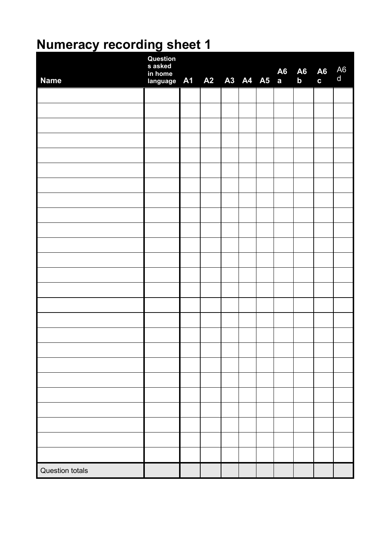# **Numeracy recording sheet 1**

| <b>Name</b>            | Question<br>s asked<br>in home<br>language A1 A2 A3 A4 A5 a |  |  | <b>A6</b> | <b>A6</b><br>$\mathbf b$ | $\begin{matrix} 46 & 46 \\ 6 & 6 \end{matrix}$ |  |
|------------------------|-------------------------------------------------------------|--|--|-----------|--------------------------|------------------------------------------------|--|
|                        |                                                             |  |  |           |                          |                                                |  |
|                        |                                                             |  |  |           |                          |                                                |  |
|                        |                                                             |  |  |           |                          |                                                |  |
|                        |                                                             |  |  |           |                          |                                                |  |
|                        |                                                             |  |  |           |                          |                                                |  |
|                        |                                                             |  |  |           |                          |                                                |  |
|                        |                                                             |  |  |           |                          |                                                |  |
|                        |                                                             |  |  |           |                          |                                                |  |
|                        |                                                             |  |  |           |                          |                                                |  |
|                        |                                                             |  |  |           |                          |                                                |  |
|                        |                                                             |  |  |           |                          |                                                |  |
|                        |                                                             |  |  |           |                          |                                                |  |
|                        |                                                             |  |  |           |                          |                                                |  |
|                        |                                                             |  |  |           |                          |                                                |  |
|                        |                                                             |  |  |           |                          |                                                |  |
|                        |                                                             |  |  |           |                          |                                                |  |
|                        |                                                             |  |  |           |                          |                                                |  |
|                        |                                                             |  |  |           |                          |                                                |  |
|                        |                                                             |  |  |           |                          |                                                |  |
|                        |                                                             |  |  |           |                          |                                                |  |
|                        |                                                             |  |  |           |                          |                                                |  |
|                        |                                                             |  |  |           |                          |                                                |  |
|                        |                                                             |  |  |           |                          |                                                |  |
|                        |                                                             |  |  |           |                          |                                                |  |
|                        |                                                             |  |  |           |                          |                                                |  |
| <b>Question totals</b> |                                                             |  |  |           |                          |                                                |  |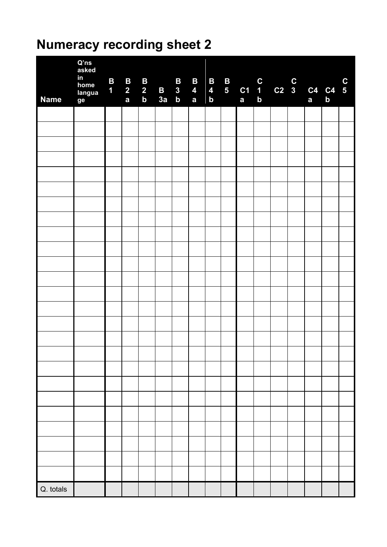# **Numeracy recording sheet 2**

| <b>Name</b> | $Q'$ ns<br>asked<br>in<br>home<br>langua<br>ge | $\mathbf{B}$<br>1 <sub>1</sub> | $\begin{array}{c} \mathbf{B} \\ 2 \\ \mathbf{a} \end{array}$ | $\begin{array}{c} \n\mathbf{B} \\ 2 \\ \mathbf{b}\n\end{array}$ | $\frac{B}{3a}$ | $\vert$ B<br>$\begin{array}{ c c } \hline 3 \\ b \\ \hline \end{array}$ | $\mathbf{B}$<br>$\overline{\mathbf{4}}$<br>$\mathbf{a}$ | $\mathbf{B}$<br>$\overline{\mathbf{4}}$<br>$\mathbf b$ | 5 <sub>5</sub> | <b>B</b><br>$\begin{array}{ c c } \hline \text{c}1 & 1 \\ \text{a} & \text{b} \end{array}$ | C<br>1 C2 3 C4 C4 5<br>b<br>a<br>a<br>a<br>b |  |  |
|-------------|------------------------------------------------|--------------------------------|--------------------------------------------------------------|-----------------------------------------------------------------|----------------|-------------------------------------------------------------------------|---------------------------------------------------------|--------------------------------------------------------|----------------|--------------------------------------------------------------------------------------------|----------------------------------------------|--|--|
|             |                                                |                                |                                                              |                                                                 |                |                                                                         |                                                         |                                                        |                |                                                                                            |                                              |  |  |
|             |                                                |                                |                                                              |                                                                 |                |                                                                         |                                                         |                                                        |                |                                                                                            |                                              |  |  |
|             |                                                |                                |                                                              |                                                                 |                |                                                                         |                                                         |                                                        |                |                                                                                            |                                              |  |  |
|             |                                                |                                |                                                              |                                                                 |                |                                                                         |                                                         |                                                        |                |                                                                                            |                                              |  |  |
|             |                                                |                                |                                                              |                                                                 |                |                                                                         |                                                         |                                                        |                |                                                                                            |                                              |  |  |
|             |                                                |                                |                                                              |                                                                 |                |                                                                         |                                                         |                                                        |                |                                                                                            |                                              |  |  |
|             |                                                |                                |                                                              |                                                                 |                |                                                                         |                                                         |                                                        |                |                                                                                            |                                              |  |  |
|             |                                                |                                |                                                              |                                                                 |                |                                                                         |                                                         |                                                        |                |                                                                                            |                                              |  |  |
|             |                                                |                                |                                                              |                                                                 |                |                                                                         |                                                         |                                                        |                |                                                                                            |                                              |  |  |
|             |                                                |                                |                                                              |                                                                 |                |                                                                         |                                                         |                                                        |                |                                                                                            |                                              |  |  |
|             |                                                |                                |                                                              |                                                                 |                |                                                                         |                                                         |                                                        |                |                                                                                            |                                              |  |  |
|             |                                                |                                |                                                              |                                                                 |                |                                                                         |                                                         |                                                        |                |                                                                                            |                                              |  |  |
|             |                                                |                                |                                                              |                                                                 |                |                                                                         |                                                         |                                                        |                |                                                                                            |                                              |  |  |
|             |                                                |                                |                                                              |                                                                 |                |                                                                         |                                                         |                                                        |                |                                                                                            |                                              |  |  |
|             |                                                |                                |                                                              |                                                                 |                |                                                                         |                                                         |                                                        |                |                                                                                            |                                              |  |  |
|             |                                                |                                |                                                              |                                                                 |                |                                                                         |                                                         |                                                        |                |                                                                                            |                                              |  |  |
|             |                                                |                                |                                                              |                                                                 |                |                                                                         |                                                         |                                                        |                |                                                                                            |                                              |  |  |
|             |                                                |                                |                                                              |                                                                 |                |                                                                         |                                                         |                                                        |                |                                                                                            |                                              |  |  |
|             |                                                |                                |                                                              |                                                                 |                |                                                                         |                                                         |                                                        |                |                                                                                            |                                              |  |  |
|             |                                                |                                |                                                              |                                                                 |                |                                                                         |                                                         |                                                        |                |                                                                                            |                                              |  |  |
|             |                                                |                                |                                                              |                                                                 |                |                                                                         |                                                         |                                                        |                |                                                                                            |                                              |  |  |
|             |                                                |                                |                                                              |                                                                 |                |                                                                         |                                                         |                                                        |                |                                                                                            |                                              |  |  |
|             |                                                |                                |                                                              |                                                                 |                |                                                                         |                                                         |                                                        |                |                                                                                            |                                              |  |  |
|             |                                                |                                |                                                              |                                                                 |                |                                                                         |                                                         |                                                        |                |                                                                                            |                                              |  |  |
|             |                                                |                                |                                                              |                                                                 |                |                                                                         |                                                         |                                                        |                |                                                                                            |                                              |  |  |
| Q. totals   |                                                |                                |                                                              |                                                                 |                |                                                                         |                                                         |                                                        |                |                                                                                            |                                              |  |  |